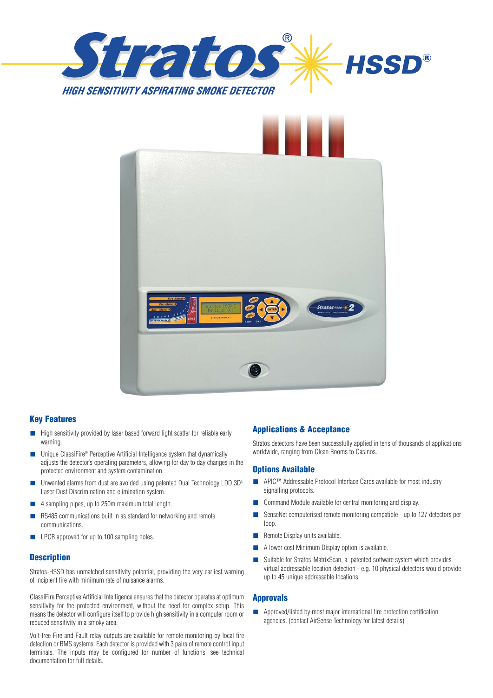



#### **Key Features**

- High sensitivity provided by laser based forward light scatter for reliable early warning.
- Unique ClassiFire® Perceptive Artificial Intelligence system that dynamically adjusts the detector's operating parameters, allowing for day to day changes in the protected environment and system contamination.
- Unwanted alarms from dust are avoided using patented Dual Technology LDD 3D<sup>3</sup> Laser Dust Discrimination and elimination system.
- 4 sampling pipes, up to 250m maximum total length.
- RS485 communications built in as standard for networking and remote communications.
- LPCB approved for up to 100 sampling holes.

#### **Description**

Stratos-HSSD has unmatched sensitivity potential, providing the very earliest warning of incipient fire with minimum rate of nuisance alarms.

ClassiFire Perceptive Artificial Intelligence ensures that the detector operates at optimum sensitivity for the protected environment, without the need for complex setup. This means the detector will configure itself to provide high sensitivity in a computer room or reduced sensitivity in a smoky area.

Volt-free Fire and Fault relay outputs are available for remote monitoring by local fire detection or BMS systems. Each detector is provided with 3 pairs of remote control input terminals. The inputs may be configured for number of functions, see technical documentation for full details.

### **Applications & Acceptance**

Stratos detectors have been successfully applied in tens of thousands of applications worldwide, ranging from Clean Rooms to Casinos.

#### **Options Available**

- APIC<sup>™</sup> Addressable Protocol Interface Cards available for most industry signalling protocols.
- Command Module available for central monitoring and display.
- SenseNet computerised remote monitoring compatible up to 127 detectors per loop.
- Remote Display units available.
- A lower cost Minimum Display option is available.
- Suitable for Stratos-MatrixScan, a patented software system which provides virtual addressable location detection - e.g. 10 physical detectors would provide up to 45 unique addressable locations.

#### **Approvals**

■ Approved/listed by most major international fire protection certification agencies. (contact AirSense Technology for latest details)